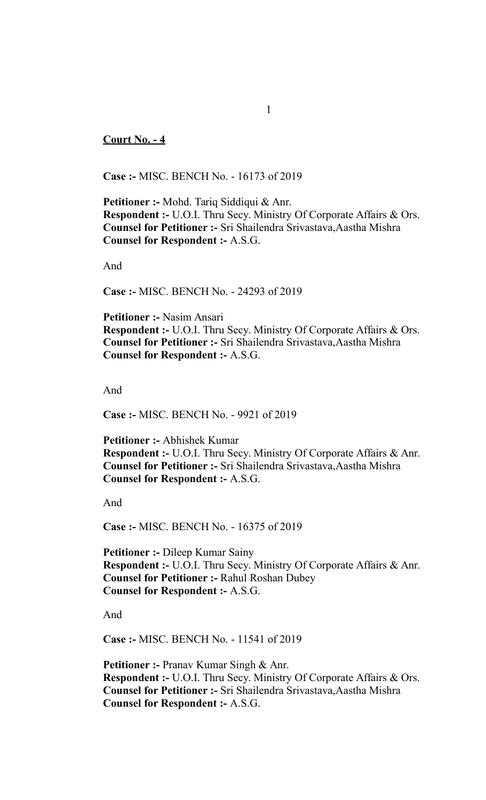## **Court No. - 4**

**Case :-** MISC. BENCH No. - 16173 of 2019

**Petitioner :-** Mohd. Tariq Siddiqui & Anr. **Respondent :-** U.O.I. Thru Secy. Ministry Of Corporate Affairs & Ors. **Counsel for Petitioner :-** Sri Shailendra Srivastava,Aastha Mishra **Counsel for Respondent :-** A.S.G.

And

**Case :-** MISC. BENCH No. - 24293 of 2019

**Petitioner :-** Nasim Ansari **Respondent :-** U.O.I. Thru Secy. Ministry Of Corporate Affairs & Ors. **Counsel for Petitioner :-** Sri Shailendra Srivastava,Aastha Mishra **Counsel for Respondent :-** A.S.G.

And

**Case :-** MISC. BENCH No. - 9921 of 2019

**Petitioner :-** Abhishek Kumar **Respondent :-** U.O.I. Thru Secy. Ministry Of Corporate Affairs & Anr. **Counsel for Petitioner :-** Sri Shailendra Srivastava,Aastha Mishra **Counsel for Respondent :-** A.S.G.

And

**Case :-** MISC. BENCH No. - 16375 of 2019

**Petitioner :-** Dileep Kumar Sainy **Respondent :-** U.O.I. Thru Secy. Ministry Of Corporate Affairs & Anr. **Counsel for Petitioner :-** Rahul Roshan Dubey **Counsel for Respondent :-** A.S.G.

And

**Case :-** MISC. BENCH No. - 11541 of 2019

**Petitioner :-** Pranav Kumar Singh & Anr. **Respondent :-** U.O.I. Thru Secy. Ministry Of Corporate Affairs & Ors. **Counsel for Petitioner :-** Sri Shailendra Srivastava,Aastha Mishra **Counsel for Respondent :-** A.S.G.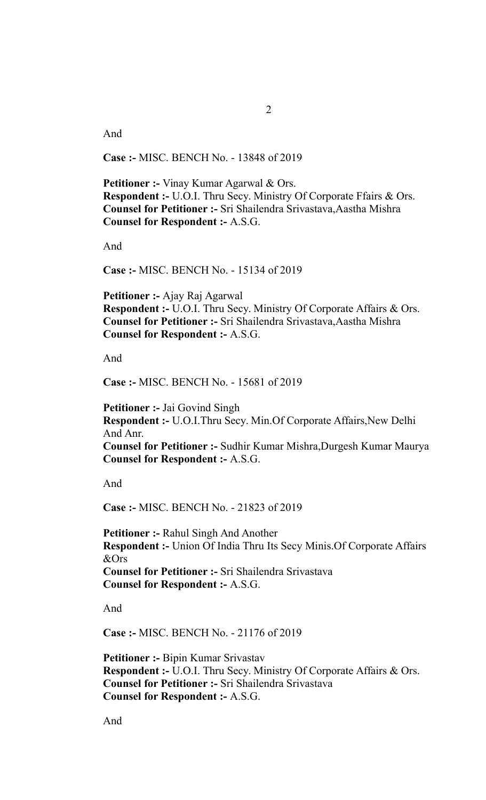And

**Case :-** MISC. BENCH No. - 13848 of 2019

**Petitioner :-** Vinay Kumar Agarwal & Ors. **Respondent :-** U.O.I. Thru Secy. Ministry Of Corporate Ffairs & Ors. **Counsel for Petitioner :-** Sri Shailendra Srivastava,Aastha Mishra **Counsel for Respondent :-** A.S.G.

And

**Case :-** MISC. BENCH No. - 15134 of 2019

**Petitioner :-** Ajay Raj Agarwal **Respondent :-** U.O.I. Thru Secy. Ministry Of Corporate Affairs & Ors. **Counsel for Petitioner :-** Sri Shailendra Srivastava,Aastha Mishra **Counsel for Respondent :-** A.S.G.

And

**Case :-** MISC. BENCH No. - 15681 of 2019

**Petitioner :-** Jai Govind Singh **Respondent :-** U.O.I.Thru Secy. Min.Of Corporate Affairs, New Delhi And Anr. **Counsel for Petitioner :-** Sudhir Kumar Mishra,Durgesh Kumar Maurya **Counsel for Respondent :-** A.S.G.

And

**Case :-** MISC. BENCH No. - 21823 of 2019

**Petitioner :-** Rahul Singh And Another **Respondent :-** Union Of India Thru Its Secy Minis.Of Corporate Affairs &Ors **Counsel for Petitioner :-** Sri Shailendra Srivastava **Counsel for Respondent :-** A.S.G.

And

**Case :-** MISC. BENCH No. - 21176 of 2019

**Petitioner :-** Bipin Kumar Srivastav **Respondent :-** U.O.I. Thru Secy. Ministry Of Corporate Affairs & Ors. **Counsel for Petitioner :-** Sri Shailendra Srivastava **Counsel for Respondent :-** A.S.G.

And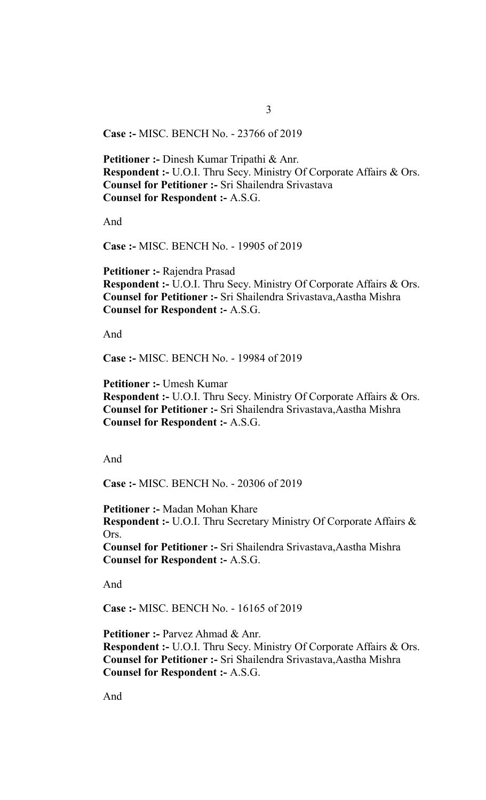**Case :-** MISC. BENCH No. - 23766 of 2019

**Petitioner :-** Dinesh Kumar Tripathi & Anr. **Respondent :-** U.O.I. Thru Secy. Ministry Of Corporate Affairs & Ors. **Counsel for Petitioner :-** Sri Shailendra Srivastava **Counsel for Respondent :-** A.S.G.

And

**Case :-** MISC. BENCH No. - 19905 of 2019

**Petitioner :-** Rajendra Prasad **Respondent :-** U.O.I. Thru Secy. Ministry Of Corporate Affairs & Ors. **Counsel for Petitioner :-** Sri Shailendra Srivastava,Aastha Mishra **Counsel for Respondent :-** A.S.G.

And

**Case :-** MISC. BENCH No. - 19984 of 2019

**Petitioner :-** Umesh Kumar **Respondent :-** U.O.I. Thru Secy. Ministry Of Corporate Affairs & Ors. **Counsel for Petitioner :-** Sri Shailendra Srivastava,Aastha Mishra **Counsel for Respondent :-** A.S.G.

And

**Case :-** MISC. BENCH No. - 20306 of 2019

**Petitioner :-** Madan Mohan Khare **Respondent :-** U.O.I. Thru Secretary Ministry Of Corporate Affairs & Ors. **Counsel for Petitioner :-** Sri Shailendra Srivastava,Aastha Mishra **Counsel for Respondent :-** A.S.G.

And

**Case :-** MISC. BENCH No. - 16165 of 2019

**Petitioner :-** Parvez Ahmad & Anr. **Respondent :-** U.O.I. Thru Secy. Ministry Of Corporate Affairs & Ors. **Counsel for Petitioner :-** Sri Shailendra Srivastava,Aastha Mishra **Counsel for Respondent :-** A.S.G.

And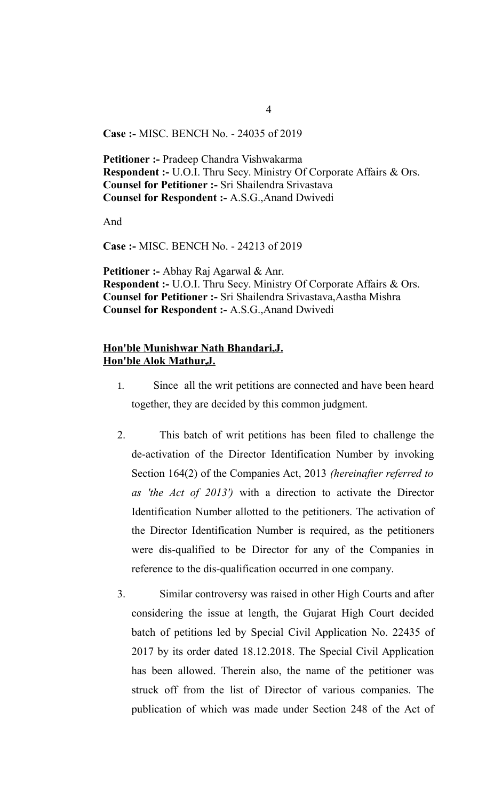**Case :-** MISC. BENCH No. - 24035 of 2019

**Petitioner :-** Pradeep Chandra Vishwakarma **Respondent :-** U.O.I. Thru Secy. Ministry Of Corporate Affairs & Ors. **Counsel for Petitioner :-** Sri Shailendra Srivastava **Counsel for Respondent :-** A.S.G.,Anand Dwivedi

And

**Case :-** MISC. BENCH No. - 24213 of 2019

**Petitioner :-** Abhay Raj Agarwal & Anr. **Respondent :-** U.O.I. Thru Secy. Ministry Of Corporate Affairs & Ors. **Counsel for Petitioner :-** Sri Shailendra Srivastava,Aastha Mishra **Counsel for Respondent :-** A.S.G.,Anand Dwivedi

## **Hon'ble Munishwar Nath Bhandari,J. Hon'ble Alok Mathur,J.**

- 1. Since all the writ petitions are connected and have been heard together, they are decided by this common judgment.
- 2. This batch of writ petitions has been filed to challenge the de-activation of the Director Identification Number by invoking Section 164(2) of the Companies Act, 2013 *(hereinafter referred to as 'the Act of 2013')* with a direction to activate the Director Identification Number allotted to the petitioners. The activation of the Director Identification Number is required, as the petitioners were dis-qualified to be Director for any of the Companies in reference to the dis-qualification occurred in one company.
- 3. Similar controversy was raised in other High Courts and after considering the issue at length, the Gujarat High Court decided batch of petitions led by Special Civil Application No. 22435 of 2017 by its order dated 18.12.2018. The Special Civil Application has been allowed. Therein also, the name of the petitioner was struck off from the list of Director of various companies. The publication of which was made under Section 248 of the Act of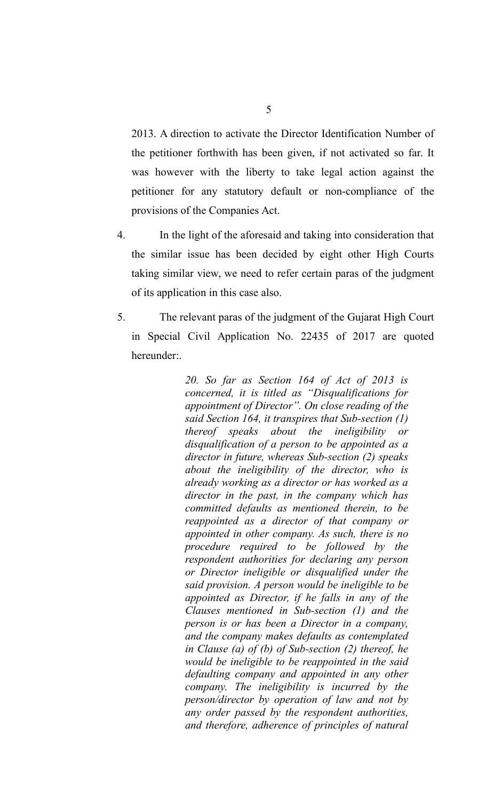2013. A direction to activate the Director Identification Number of the petitioner forthwith has been given, if not activated so far. It was however with the liberty to take legal action against the petitioner for any statutory default or non-compliance of the provisions of the Companies Act.

- 4. In the light of the aforesaid and taking into consideration that the similar issue has been decided by eight other High Courts taking similar view, we need to refer certain paras of the judgment of its application in this case also.
- 5. The relevant paras of the judgment of the Gujarat High Court in Special Civil Application No. 22435 of 2017 are quoted hereunder:.

*20. So far as Section 164 of Act of 2013 is concerned, it is titled as "Disqualifications for appointment of Director". On close reading of the said Section 164, it transpires that Sub-section (1) thereof speaks about the ineligibility or disqualification of a person to be appointed as a director in future, whereas Sub-section (2) speaks about the ineligibility of the director, who is already working as a director or has worked as a director in the past, in the company which has committed defaults as mentioned therein, to be reappointed as a director of that company or appointed in other company. As such, there is no procedure required to be followed by the respondent authorities for declaring any person or Director ineligible or disqualified under the said provision. A person would be ineligible to be appointed as Director, if he falls in any of the Clauses mentioned in Sub-section (1) and the person is or has been a Director in a company, and the company makes defaults as contemplated in Clause (a) of (b) of Sub-section (2) thereof, he would be ineligible to be reappointed in the said defaulting company and appointed in any other company. The ineligibility is incurred by the person/director by operation of law and not by any order passed by the respondent authorities, and therefore, adherence of principles of natural*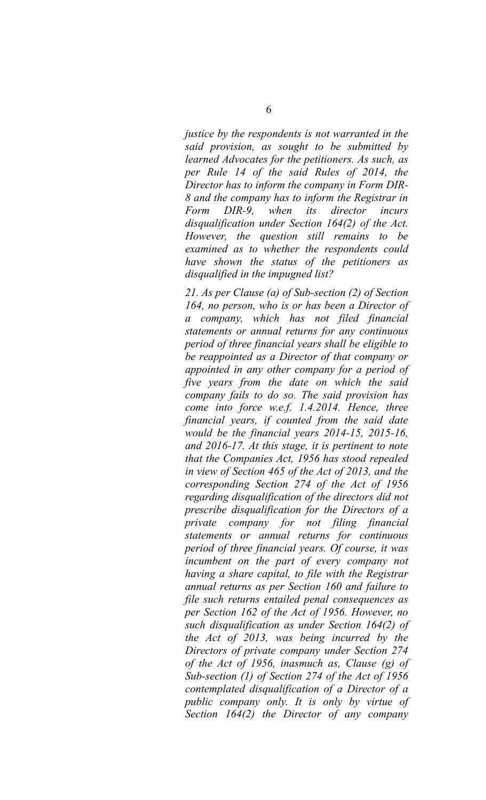*justice by the respondents is not warranted in the said provision, as sought to be submitted by learned Advocates for the petitioners. As such, as per Rule 14 of the said Rules of 2014, the Director has to inform the company in Form DIR-8 and the company has to inform the Registrar in Form DIR-9, when its director incurs disqualification under Section 164(2) of the Act. However, the question still remains to be examined as to whether the respondents could have shown the status of the petitioners as disqualified in the impugned list?*

*21. As per Clause (a) of Sub-section (2) of Section 164, no person, who is or has been a Director of a company, which has not filed financial statements or annual returns for any continuous period of three financial years shall be eligible to be reappointed as a Director of that company or appointed in any other company for a period of five years from the date on which the said company fails to do so. The said provision has come into force w.e.f. 1.4.2014. Hence, three financial years, if counted from the said date would be the financial years 2014-15, 2015-16, and 2016-17. At this stage, it is pertinent to note that the Companies Act, 1956 has stood repealed in view of Section 465 of the Act of 2013, and the corresponding Section 274 of the Act of 1956 regarding disqualification of the directors did not prescribe disqualification for the Directors of a private company for not filing financial statements or annual returns for continuous period of three financial years. Of course, it was incumbent on the part of every company not having a share capital, to file with the Registrar annual returns as per Section 160 and failure to file such returns entailed penal consequences as per Section 162 of the Act of 1956. However, no such disqualification as under Section 164(2) of the Act of 2013, was being incurred by the Directors of private company under Section 274 of the Act of 1956, inasmuch as, Clause (g) of Sub-section (1) of Section 274 of the Act of 1956 contemplated disqualification of a Director of a public company only. It is only by virtue of Section 164(2) the Director of any company*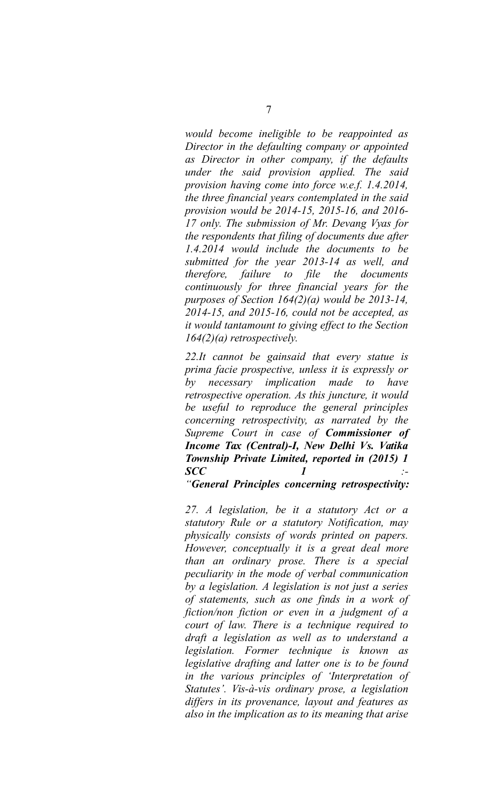*would become ineligible to be reappointed as Director in the defaulting company or appointed as Director in other company, if the defaults under the said provision applied. The said provision having come into force w.e.f. 1.4.2014, the three financial years contemplated in the said provision would be 2014-15, 2015-16, and 2016- 17 only. The submission of Mr. Devang Vyas for the respondents that filing of documents due after 1.4.2014 would include the documents to be submitted for the year 2013-14 as well, and therefore, failure to file the documents continuously for three financial years for the purposes of Section 164(2)(a) would be 2013-14, 2014-15, and 2015-16, could not be accepted, as it would tantamount to giving effect to the Section 164(2)(a) retrospectively.* 

*22.It cannot be gainsaid that every statue is prima facie prospective, unless it is expressly or by necessary implication made to have retrospective operation. As this juncture, it would be useful to reproduce the general principles concerning retrospectivity, as narrated by the Supreme Court in case of Commissioner of Income Tax (Central)-I, New Delhi Vs. Vatika Township Private Limited, reported in (2015) 1 SCC 1 :-*

*"General Principles concerning retrospectivity:*

*27. A legislation, be it a statutory Act or a statutory Rule or a statutory Notification, may physically consists of words printed on papers. However, conceptually it is a great deal more than an ordinary prose. There is a special peculiarity in the mode of verbal communication by a legislation. A legislation is not just a series of statements, such as one finds in a work of fiction/non fiction or even in a judgment of a court of law. There is a technique required to draft a legislation as well as to understand a legislation. Former technique is known as legislative drafting and latter one is to be found in the various principles of 'Interpretation of Statutes'. Vis-à-vis ordinary prose, a legislation differs in its provenance, layout and features as also in the implication as to its meaning that arise*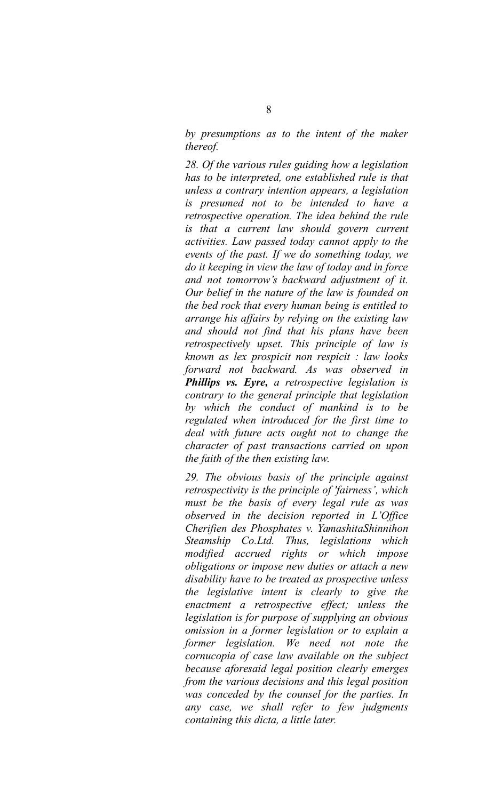*by presumptions as to the intent of the maker thereof.*

*28. Of the various rules guiding how a legislation has to be interpreted, one established rule is that unless a contrary intention appears, a legislation is presumed not to be intended to have a retrospective operation. The idea behind the rule is that a current law should govern current activities. Law passed today cannot apply to the events of the past. If we do something today, we do it keeping in view the law of today and in force and not tomorrow's backward adjustment of it. Our belief in the nature of the law is founded on the bed rock that every human being is entitled to arrange his affairs by relying on the existing law and should not find that his plans have been retrospectively upset. This principle of law is known as lex prospicit non respicit : law looks forward not backward. As was observed in Phillips vs. Eyre, a retrospective legislation is contrary to the general principle that legislation by which the conduct of mankind is to be regulated when introduced for the first time to deal with future acts ought not to change the character of past transactions carried on upon the faith of the then existing law.*

*29. The obvious basis of the principle against retrospectivity is the principle of 'fairness', which must be the basis of every legal rule as was observed in the decision reported in L'Office Cherifien des Phosphates v. YamashitaShinnihon Steamship Co.Ltd. Thus, legislations which modified accrued rights or which impose obligations or impose new duties or attach a new disability have to be treated as prospective unless the legislative intent is clearly to give the enactment a retrospective effect; unless the legislation is for purpose of supplying an obvious omission in a former legislation or to explain a former legislation. We need not note the cornucopia of case law available on the subject because aforesaid legal position clearly emerges from the various decisions and this legal position was conceded by the counsel for the parties. In any case, we shall refer to few judgments containing this dicta, a little later.*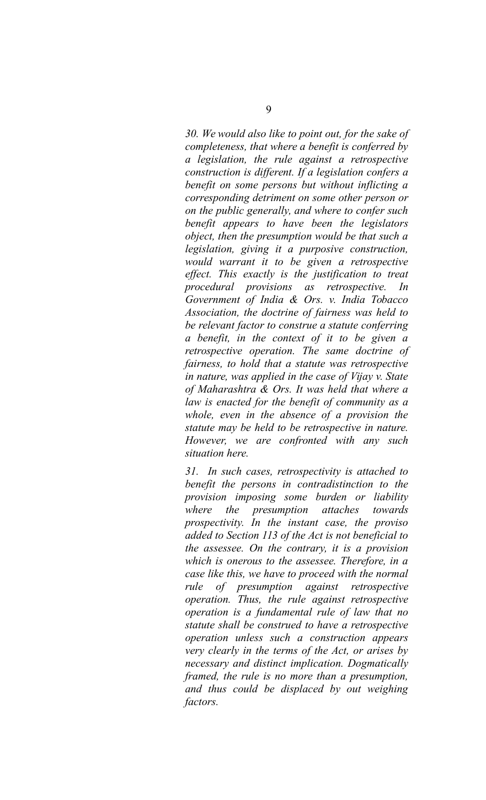*30. We would also like to point out, for the sake of completeness, that where a benefit is conferred by a legislation, the rule against a retrospective construction is different. If a legislation confers a benefit on some persons but without inflicting a corresponding detriment on some other person or on the public generally, and where to confer such benefit appears to have been the legislators object, then the presumption would be that such a legislation, giving it a purposive construction, would warrant it to be given a retrospective effect. This exactly is the justification to treat procedural provisions as retrospective. In Government of India & Ors. v. India Tobacco Association, the doctrine of fairness was held to be relevant factor to construe a statute conferring a benefit, in the context of it to be given a retrospective operation. The same doctrine of fairness, to hold that a statute was retrospective in nature, was applied in the case of Vijay v. State of Maharashtra & Ors. It was held that where a law is enacted for the benefit of community as a whole, even in the absence of a provision the statute may be held to be retrospective in nature. However, we are confronted with any such situation here.*

*31. In such cases, retrospectivity is attached to benefit the persons in contradistinction to the provision imposing some burden or liability where the presumption attaches towards prospectivity. In the instant case, the proviso added to Section 113 of the Act is not beneficial to the assessee. On the contrary, it is a provision which is onerous to the assessee. Therefore, in a case like this, we have to proceed with the normal rule of presumption against retrospective operation. Thus, the rule against retrospective operation is a fundamental rule of law that no statute shall be construed to have a retrospective operation unless such a construction appears very clearly in the terms of the Act, or arises by necessary and distinct implication. Dogmatically framed, the rule is no more than a presumption, and thus could be displaced by out weighing factors.*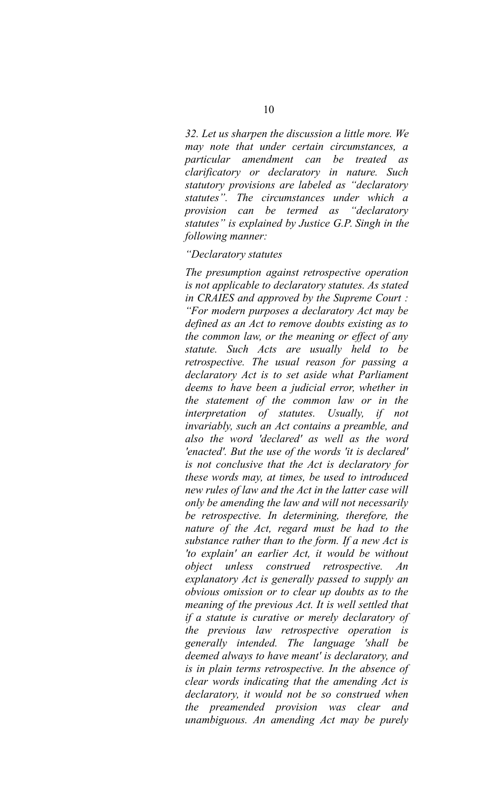*32. Let us sharpen the discussion a little more. We may note that under certain circumstances, a particular amendment can be treated as clarificatory or declaratory in nature. Such statutory provisions are labeled as "declaratory statutes". The circumstances under which a provision can be termed as "declaratory statutes" is explained by Justice G.P. Singh in the following manner:*

## *"Declaratory statutes*

*The presumption against retrospective operation is not applicable to declaratory statutes. As stated in CRAIES and approved by the Supreme Court : "For modern purposes a declaratory Act may be defined as an Act to remove doubts existing as to the common law, or the meaning or effect of any statute. Such Acts are usually held to be retrospective. The usual reason for passing a declaratory Act is to set aside what Parliament deems to have been a judicial error, whether in the statement of the common law or in the interpretation of statutes. Usually, if not invariably, such an Act contains a preamble, and also the word 'declared' as well as the word 'enacted'. But the use of the words 'it is declared' is not conclusive that the Act is declaratory for these words may, at times, be used to introduced new rules of law and the Act in the latter case will only be amending the law and will not necessarily be retrospective. In determining, therefore, the nature of the Act, regard must be had to the substance rather than to the form. If a new Act is 'to explain' an earlier Act, it would be without object unless construed retrospective. An explanatory Act is generally passed to supply an obvious omission or to clear up doubts as to the meaning of the previous Act. It is well settled that if a statute is curative or merely declaratory of the previous law retrospective operation is generally intended. The language 'shall be deemed always to have meant' is declaratory, and is in plain terms retrospective. In the absence of clear words indicating that the amending Act is declaratory, it would not be so construed when the preamended provision was clear and unambiguous. An amending Act may be purely*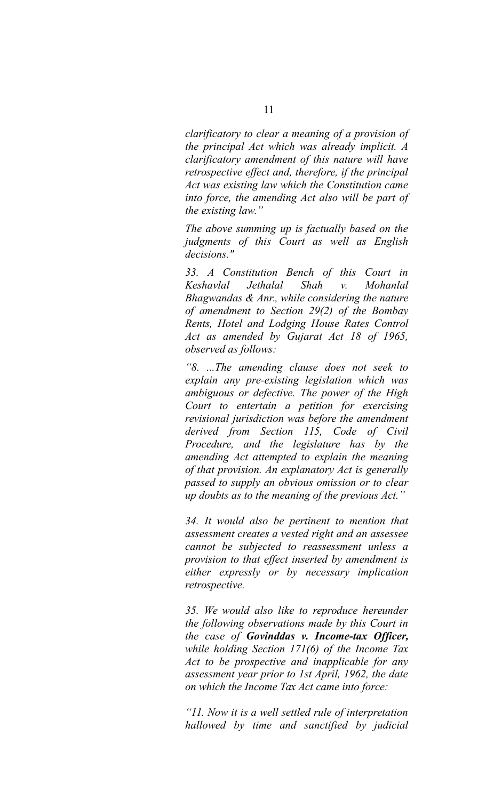*clarificatory to clear a meaning of a provision of the principal Act which was already implicit. A clarificatory amendment of this nature will have retrospective effect and, therefore, if the principal Act was existing law which the Constitution came into force, the amending Act also will be part of the existing law."*

*The above summing up is factually based on the judgments of this Court as well as English decisions."*

*33. A Constitution Bench of this Court in Keshavlal Jethalal Shah v. Mohanlal Bhagwandas & Anr., while considering the nature of amendment to Section 29(2) of the Bombay Rents, Hotel and Lodging House Rates Control Act as amended by Gujarat Act 18 of 1965, observed as follows:*

*"8. ...The amending clause does not seek to explain any pre-existing legislation which was ambiguous or defective. The power of the High Court to entertain a petition for exercising revisional jurisdiction was before the amendment derived from Section 115, Code of Civil Procedure, and the legislature has by the amending Act attempted to explain the meaning of that provision. An explanatory Act is generally passed to supply an obvious omission or to clear up doubts as to the meaning of the previous Act."*

*34. It would also be pertinent to mention that assessment creates a vested right and an assessee cannot be subjected to reassessment unless a provision to that effect inserted by amendment is either expressly or by necessary implication retrospective.*

*35. We would also like to reproduce hereunder the following observations made by this Court in the case of Govinddas v. Income-tax Officer, while holding Section 171(6) of the Income Tax Act to be prospective and inapplicable for any assessment year prior to 1st April, 1962, the date on which the Income Tax Act came into force:*

*"11. Now it is a well settled rule of interpretation hallowed by time and sanctified by judicial*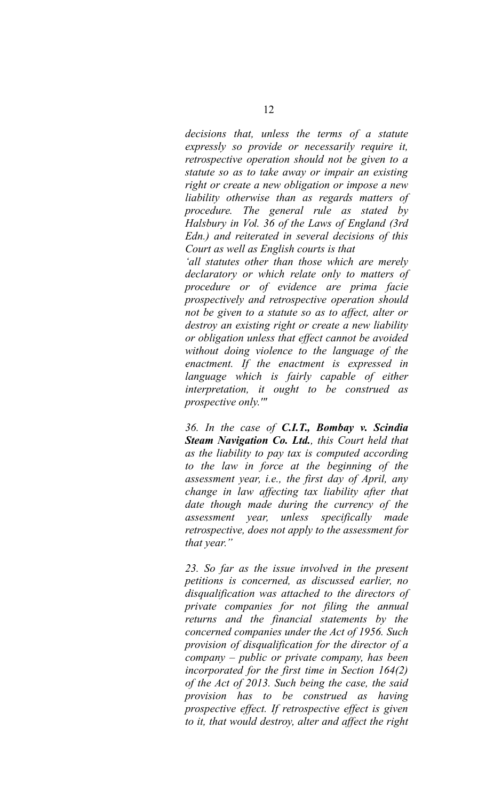*decisions that, unless the terms of a statute expressly so provide or necessarily require it, retrospective operation should not be given to a statute so as to take away or impair an existing right or create a new obligation or impose a new liability otherwise than as regards matters of procedure. The general rule as stated by Halsbury in Vol. 36 of the Laws of England (3rd Edn.) and reiterated in several decisions of this Court as well as English courts is that 'all statutes other than those which are merely declaratory or which relate only to matters of*

*procedure or of evidence are prima facie prospectively and retrospective operation should not be given to a statute so as to affect, alter or destroy an existing right or create a new liability or obligation unless that effect cannot be avoided without doing violence to the language of the enactment. If the enactment is expressed in language which is fairly capable of either interpretation, it ought to be construed as prospective only.'"*

*36. In the case of C.I.T., Bombay v. Scindia Steam Navigation Co. Ltd., this Court held that as the liability to pay tax is computed according to the law in force at the beginning of the assessment year, i.e., the first day of April, any change in law affecting tax liability after that date though made during the currency of the assessment year, unless specifically made retrospective, does not apply to the assessment for that year."*

*23. So far as the issue involved in the present petitions is concerned, as discussed earlier, no disqualification was attached to the directors of private companies for not filing the annual returns and the financial statements by the concerned companies under the Act of 1956. Such provision of disqualification for the director of a company – public or private company, has been incorporated for the first time in Section 164(2) of the Act of 2013. Such being the case, the said provision has to be construed as having prospective effect. If retrospective effect is given to it, that would destroy, alter and affect the right*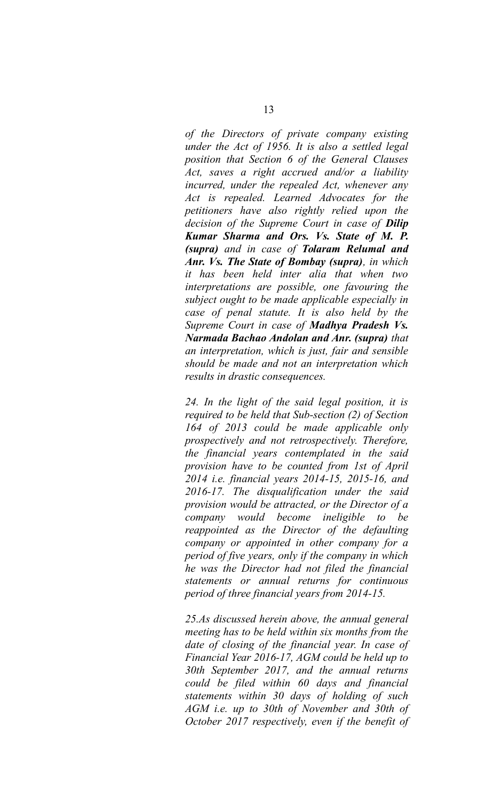*of the Directors of private company existing under the Act of 1956. It is also a settled legal position that Section 6 of the General Clauses Act, saves a right accrued and/or a liability incurred, under the repealed Act, whenever any Act is repealed. Learned Advocates for the petitioners have also rightly relied upon the decision of the Supreme Court in case of Dilip Kumar Sharma and Ors. Vs. State of M. P. (supra) and in case of Tolaram Relumal and Anr. Vs. The State of Bombay (supra), in which it has been held inter alia that when two interpretations are possible, one favouring the subject ought to be made applicable especially in case of penal statute. It is also held by the Supreme Court in case of Madhya Pradesh Vs. Narmada Bachao Andolan and Anr. (supra) that an interpretation, which is just, fair and sensible should be made and not an interpretation which results in drastic consequences.*

*24. In the light of the said legal position, it is required to be held that Sub-section (2) of Section 164 of 2013 could be made applicable only prospectively and not retrospectively. Therefore, the financial years contemplated in the said provision have to be counted from 1st of April 2014 i.e. financial years 2014-15, 2015-16, and 2016-17. The disqualification under the said provision would be attracted, or the Director of a company would become ineligible to be reappointed as the Director of the defaulting company or appointed in other company for a period of five years, only if the company in which he was the Director had not filed the financial statements or annual returns for continuous period of three financial years from 2014-15.*

*25.As discussed herein above, the annual general meeting has to be held within six months from the date of closing of the financial year. In case of Financial Year 2016-17, AGM could be held up to 30th September 2017, and the annual returns could be filed within 60 days and financial statements within 30 days of holding of such AGM i.e. up to 30th of November and 30th of October 2017 respectively, even if the benefit of*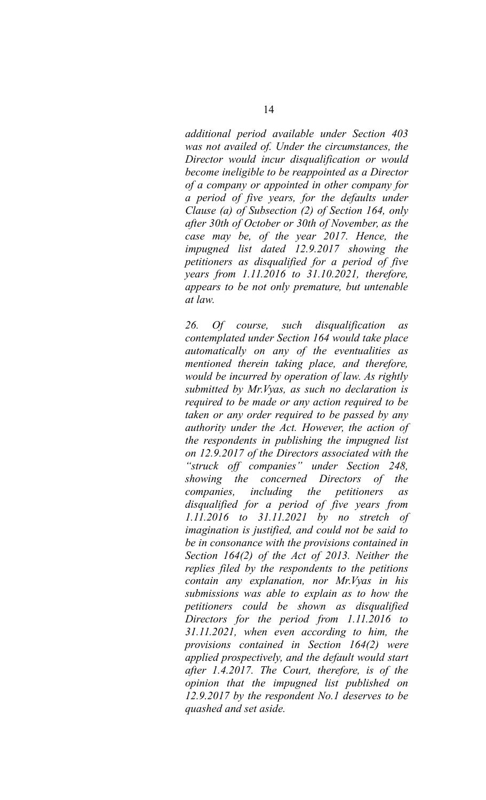*additional period available under Section 403 was not availed of. Under the circumstances, the Director would incur disqualification or would become ineligible to be reappointed as a Director of a company or appointed in other company for a period of five years, for the defaults under Clause (a) of Subsection (2) of Section 164, only after 30th of October or 30th of November, as the case may be, of the year 2017. Hence, the impugned list dated 12.9.2017 showing the petitioners as disqualified for a period of five years from 1.11.2016 to 31.10.2021, therefore, appears to be not only premature, but untenable at law.*

*26. Of course, such disqualification as contemplated under Section 164 would take place automatically on any of the eventualities as mentioned therein taking place, and therefore, would be incurred by operation of law. As rightly submitted by Mr.Vyas, as such no declaration is required to be made or any action required to be taken or any order required to be passed by any authority under the Act. However, the action of the respondents in publishing the impugned list on 12.9.2017 of the Directors associated with the "struck off companies" under Section 248, showing the concerned Directors of the companies, including the petitioners as disqualified for a period of five years from 1.11.2016 to 31.11.2021 by no stretch of imagination is justified, and could not be said to be in consonance with the provisions contained in Section 164(2) of the Act of 2013. Neither the replies filed by the respondents to the petitions contain any explanation, nor Mr.Vyas in his submissions was able to explain as to how the petitioners could be shown as disqualified Directors for the period from 1.11.2016 to 31.11.2021, when even according to him, the provisions contained in Section 164(2) were applied prospectively, and the default would start after 1.4.2017. The Court, therefore, is of the opinion that the impugned list published on 12.9.2017 by the respondent No.1 deserves to be quashed and set aside.*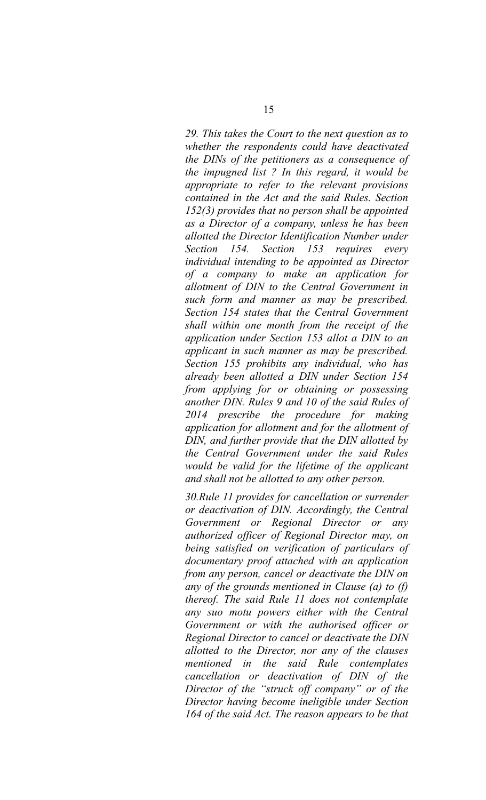*29. This takes the Court to the next question as to whether the respondents could have deactivated the DINs of the petitioners as a consequence of the impugned list ? In this regard, it would be appropriate to refer to the relevant provisions contained in the Act and the said Rules. Section 152(3) provides that no person shall be appointed as a Director of a company, unless he has been allotted the Director Identification Number under Section 154. Section 153 requires every individual intending to be appointed as Director of a company to make an application for allotment of DIN to the Central Government in such form and manner as may be prescribed. Section 154 states that the Central Government shall within one month from the receipt of the application under Section 153 allot a DIN to an applicant in such manner as may be prescribed. Section 155 prohibits any individual, who has already been allotted a DIN under Section 154 from applying for or obtaining or possessing another DIN. Rules 9 and 10 of the said Rules of 2014 prescribe the procedure for making application for allotment and for the allotment of DIN, and further provide that the DIN allotted by the Central Government under the said Rules would be valid for the lifetime of the applicant and shall not be allotted to any other person.*

*30.Rule 11 provides for cancellation or surrender or deactivation of DIN. Accordingly, the Central Government or Regional Director or any authorized officer of Regional Director may, on being satisfied on verification of particulars of documentary proof attached with an application from any person, cancel or deactivate the DIN on any of the grounds mentioned in Clause (a) to (f) thereof. The said Rule 11 does not contemplate any suo motu powers either with the Central Government or with the authorised officer or Regional Director to cancel or deactivate the DIN allotted to the Director, nor any of the clauses mentioned in the said Rule contemplates cancellation or deactivation of DIN of the Director of the "struck off company" or of the Director having become ineligible under Section 164 of the said Act. The reason appears to be that*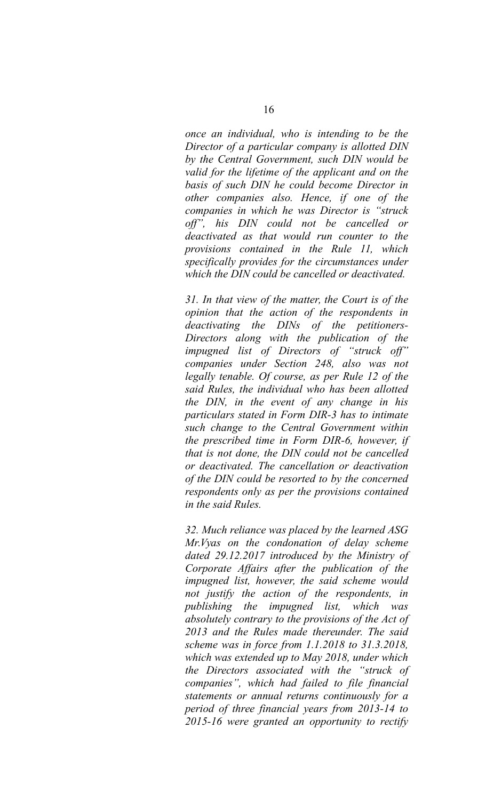*once an individual, who is intending to be the Director of a particular company is allotted DIN by the Central Government, such DIN would be valid for the lifetime of the applicant and on the basis of such DIN he could become Director in other companies also. Hence, if one of the companies in which he was Director is "struck off", his DIN could not be cancelled or deactivated as that would run counter to the provisions contained in the Rule 11, which specifically provides for the circumstances under which the DIN could be cancelled or deactivated.*

*31. In that view of the matter, the Court is of the opinion that the action of the respondents in deactivating the DINs of the petitioners-Directors along with the publication of the impugned list of Directors of "struck off" companies under Section 248, also was not legally tenable. Of course, as per Rule 12 of the said Rules, the individual who has been allotted the DIN, in the event of any change in his particulars stated in Form DIR-3 has to intimate such change to the Central Government within the prescribed time in Form DIR-6, however, if that is not done, the DIN could not be cancelled or deactivated. The cancellation or deactivation of the DIN could be resorted to by the concerned respondents only as per the provisions contained in the said Rules.*

*32. Much reliance was placed by the learned ASG Mr.Vyas on the condonation of delay scheme dated 29.12.2017 introduced by the Ministry of Corporate Affairs after the publication of the impugned list, however, the said scheme would not justify the action of the respondents, in publishing the impugned list, which was absolutely contrary to the provisions of the Act of 2013 and the Rules made thereunder. The said scheme was in force from 1.1.2018 to 31.3.2018, which was extended up to May 2018, under which the Directors associated with the "struck of companies", which had failed to file financial statements or annual returns continuously for a period of three financial years from 2013-14 to 2015-16 were granted an opportunity to rectify*